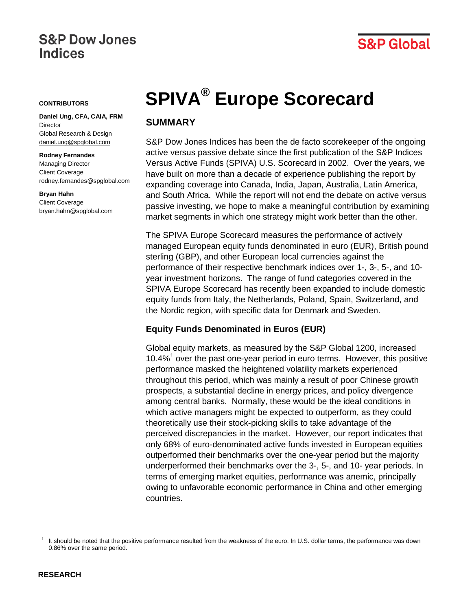# **S&P Dow Jones Indices**

# **S&P Global**

#### **CONTRIBUTORS**

**Daniel Ung, CFA, CAIA, FRM Director** Global Research & Design [daniel.ung@spglobal.com](mailto:daniel.ung@spglobal.com)

#### **Rodney Fernandes** Managing Director Client Coverage [rodney.fernandes@spglobal.com](mailto:rodney.fernandes@spglobal.com)

**Bryan Hahn** Client Coverage [bryan.hahn@spglobal.com](mailto:bryan.hahn@spglobal.com)

# **SPIVA® Europe Scorecard**

# **SUMMARY**

S&P Dow Jones Indices has been the de facto scorekeeper of the ongoing active versus passive debate since the first publication of the S&P Indices Versus Active Funds (SPIVA) U.S. Scorecard in 2002. Over the years, we have built on more than a decade of experience publishing the report by expanding coverage into Canada, India, Japan, Australia, Latin America, and South Africa. While the report will not end the debate on active versus passive investing, we hope to make a meaningful contribution by examining market segments in which one strategy might work better than the other.

The SPIVA Europe Scorecard measures the performance of actively managed European equity funds denominated in euro (EUR), British pound sterling (GBP), and other European local currencies against the performance of their respective benchmark indices over 1-, 3-, 5-, and 10 year investment horizons. The range of fund categories covered in the SPIVA Europe Scorecard has recently been expanded to include domestic equity funds from Italy, the Netherlands, Poland, Spain, Switzerland, and the Nordic region, with specific data for Denmark and Sweden.

## **Equity Funds Denominated in Euros (EUR)**

Global equity markets, as measured by the S&P Global 1200, increased [1](#page-0-0)0.4% $<sup>1</sup>$  over the past one-year period in euro terms. However, this positive</sup> performance masked the heightened volatility markets experienced throughout this period, which was mainly a result of poor Chinese growth prospects, a substantial decline in energy prices, and policy divergence among central banks. Normally, these would be the ideal conditions in which active managers might be expected to outperform, as they could theoretically use their stock-picking skills to take advantage of the perceived discrepancies in the market. However, our report indicates that only 68% of euro-denominated active funds invested in European equities outperformed their benchmarks over the one-year period but the majority underperformed their benchmarks over the 3-, 5-, and 10- year periods. In terms of emerging market equities, performance was anemic, principally owing to unfavorable economic performance in China and other emerging countries.

<span id="page-0-0"></span>It should be noted that the positive performance resulted from the weakness of the euro. In U.S. dollar terms, the performance was down 0.86% over the same period.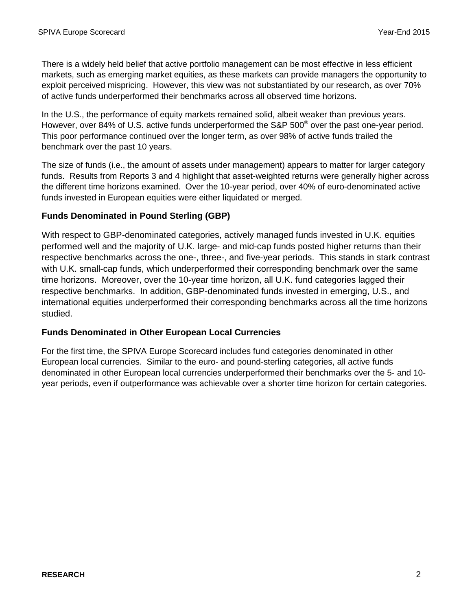There is a widely held belief that active portfolio management can be most effective in less efficient markets, such as emerging market equities, as these markets can provide managers the opportunity to exploit perceived mispricing. However, this view was not substantiated by our research, as over 70% of active funds underperformed their benchmarks across all observed time horizons.

In the U.S., the performance of equity markets remained solid, albeit weaker than previous years. However, over 84% of U.S. active funds underperformed the S&P 500® over the past one-year period. This poor performance continued over the longer term, as over 98% of active funds trailed the benchmark over the past 10 years.

The size of funds (i.e., the amount of assets under management) appears to matter for larger category funds. Results from Reports 3 and 4 highlight that asset-weighted returns were generally higher across the different time horizons examined. Over the 10-year period, over 40% of euro-denominated active funds invested in European equities were either liquidated or merged.

### **Funds Denominated in Pound Sterling (GBP)**

With respect to GBP-denominated categories, actively managed funds invested in U.K. equities performed well and the majority of U.K. large- and mid-cap funds posted higher returns than their respective benchmarks across the one-, three-, and five-year periods. This stands in stark contrast with U.K. small-cap funds, which underperformed their corresponding benchmark over the same time horizons. Moreover, over the 10-year time horizon, all U.K. fund categories lagged their respective benchmarks. In addition, GBP-denominated funds invested in emerging, U.S., and international equities underperformed their corresponding benchmarks across all the time horizons studied.

#### **Funds Denominated in Other European Local Currencies**

For the first time, the SPIVA Europe Scorecard includes fund categories denominated in other European local currencies. Similar to the euro- and pound-sterling categories, all active funds denominated in other European local currencies underperformed their benchmarks over the 5- and 10 year periods, even if outperformance was achievable over a shorter time horizon for certain categories.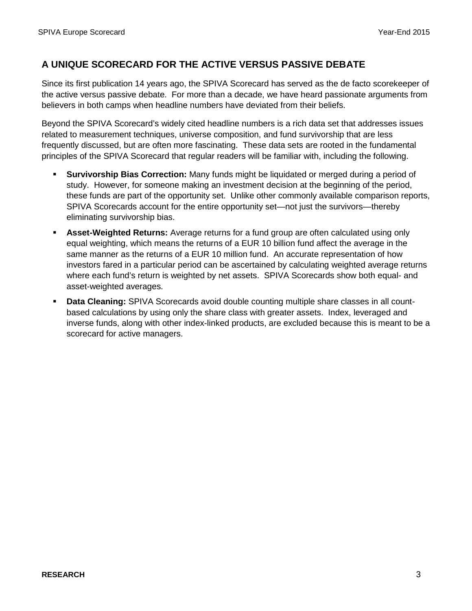# **A UNIQUE SCORECARD FOR THE ACTIVE VERSUS PASSIVE DEBATE**

Since its first publication 14 years ago, the SPIVA Scorecard has served as the de facto scorekeeper of the active versus passive debate. For more than a decade, we have heard passionate arguments from believers in both camps when headline numbers have deviated from their beliefs.

Beyond the SPIVA Scorecard's widely cited headline numbers is a rich data set that addresses issues related to measurement techniques, universe composition, and fund survivorship that are less frequently discussed, but are often more fascinating. These data sets are rooted in the fundamental principles of the SPIVA Scorecard that regular readers will be familiar with, including the following.

- **Survivorship Bias Correction:** Many funds might be liquidated or merged during a period of study. However, for someone making an investment decision at the beginning of the period, these funds are part of the opportunity set. Unlike other commonly available comparison reports, SPIVA Scorecards account for the entire opportunity set—not just the survivors—thereby eliminating survivorship bias.
- **Asset-Weighted Returns:** Average returns for a fund group are often calculated using only equal weighting, which means the returns of a EUR 10 billion fund affect the average in the same manner as the returns of a EUR 10 million fund. An accurate representation of how investors fared in a particular period can be ascertained by calculating weighted average returns where each fund's return is weighted by net assets. SPIVA Scorecards show both equal- and asset-weighted averages.
- **Data Cleaning:** SPIVA Scorecards avoid double counting multiple share classes in all countbased calculations by using only the share class with greater assets. Index, leveraged and inverse funds, along with other index-linked products, are excluded because this is meant to be a scorecard for active managers.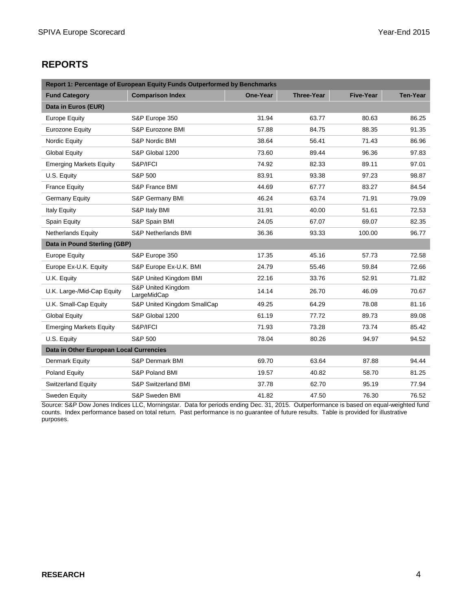# **REPORTS**

| Report 1: Percentage of European Equity Funds Outperformed by Benchmarks |                                   |          |                   |                  |                 |
|--------------------------------------------------------------------------|-----------------------------------|----------|-------------------|------------------|-----------------|
| <b>Fund Category</b>                                                     | <b>Comparison Index</b>           | One-Year | <b>Three-Year</b> | <b>Five-Year</b> | <b>Ten-Year</b> |
| Data in Euros (EUR)                                                      |                                   |          |                   |                  |                 |
| Europe Equity                                                            | S&P Europe 350                    | 31.94    | 63.77             | 80.63            | 86.25           |
| <b>Eurozone Equity</b>                                                   | S&P Eurozone BMI                  | 57.88    | 84.75             | 88.35            | 91.35           |
| Nordic Equity                                                            | S&P Nordic BMI                    | 38.64    | 56.41             | 71.43            | 86.96           |
| <b>Global Equity</b>                                                     | S&P Global 1200                   | 73.60    | 89.44             | 96.36            | 97.83           |
| <b>Emerging Markets Equity</b>                                           | S&P/IFCI                          | 74.92    | 82.33             | 89.11            | 97.01           |
| U.S. Equity                                                              | S&P 500                           | 83.91    | 93.38             | 97.23            | 98.87           |
| <b>France Equity</b>                                                     | S&P France BMI                    | 44.69    | 67.77             | 83.27            | 84.54           |
| <b>Germany Equity</b>                                                    | S&P Germany BMI                   | 46.24    | 63.74             | 71.91            | 79.09           |
| <b>Italy Equity</b>                                                      | S&P Italy BMI                     | 31.91    | 40.00             | 51.61            | 72.53           |
| Spain Equity                                                             | S&P Spain BMI                     | 24.05    | 67.07             | 69.07            | 82.35           |
| <b>Netherlands Equity</b>                                                | S&P Netherlands BMI               | 36.36    | 93.33             | 100.00           | 96.77           |
| Data in Pound Sterling (GBP)                                             |                                   |          |                   |                  |                 |
| <b>Europe Equity</b>                                                     | S&P Europe 350                    | 17.35    | 45.16             | 57.73            | 72.58           |
| Europe Ex-U.K. Equity                                                    | S&P Europe Ex-U.K. BMI            | 24.79    | 55.46             | 59.84            | 72.66           |
| U.K. Equity                                                              | S&P United Kingdom BMI            | 22.16    | 33.76             | 52.91            | 71.82           |
| U.K. Large-/Mid-Cap Equity                                               | S&P United Kingdom<br>LargeMidCap | 14.14    | 26.70             | 46.09            | 70.67           |
| U.K. Small-Cap Equity                                                    | S&P United Kingdom SmallCap       | 49.25    | 64.29             | 78.08            | 81.16           |
| <b>Global Equity</b>                                                     | S&P Global 1200                   | 61.19    | 77.72             | 89.73            | 89.08           |
| <b>Emerging Markets Equity</b>                                           | S&P/IFCI                          | 71.93    | 73.28             | 73.74            | 85.42           |
| U.S. Equity                                                              | S&P 500                           | 78.04    | 80.26             | 94.97            | 94.52           |
| Data in Other European Local Currencies                                  |                                   |          |                   |                  |                 |
| Denmark Equity                                                           | S&P Denmark BMI                   | 69.70    | 63.64             | 87.88            | 94.44           |
| Poland Equity                                                            | S&P Poland BMI                    | 19.57    | 40.82             | 58.70            | 81.25           |
| <b>Switzerland Equity</b>                                                | S&P Switzerland BMI               | 37.78    | 62.70             | 95.19            | 77.94           |
| Sweden Equity                                                            | S&P Sweden BMI                    | 41.82    | 47.50             | 76.30            | 76.52           |

Source: S&P Dow Jones Indices LLC, Morningstar. Data for periods ending Dec. 31, 2015. Outperformance is based on equal-weighted fund counts. Index performance based on total return. Past performance is no guarantee of future results. Table is provided for illustrative purposes.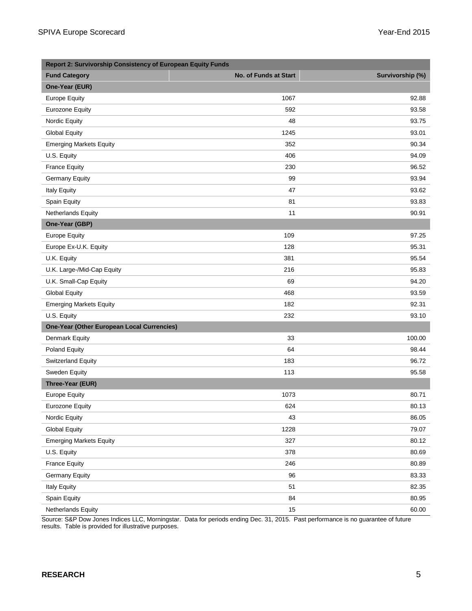| <b>Report 2: Survivorship Consistency of European Equity Funds</b> |                       |                  |
|--------------------------------------------------------------------|-----------------------|------------------|
| <b>Fund Category</b>                                               | No. of Funds at Start | Survivorship (%) |
| One-Year (EUR)                                                     |                       |                  |
| <b>Europe Equity</b>                                               | 1067                  | 92.88            |
| <b>Eurozone Equity</b>                                             | 592                   | 93.58            |
| Nordic Equity                                                      | 48                    | 93.75            |
| <b>Global Equity</b>                                               | 1245                  | 93.01            |
| <b>Emerging Markets Equity</b>                                     | 352                   | 90.34            |
| U.S. Equity                                                        | 406                   | 94.09            |
| <b>France Equity</b>                                               | 230                   | 96.52            |
| <b>Germany Equity</b>                                              | 99                    | 93.94            |
| Italy Equity                                                       | 47                    | 93.62            |
| Spain Equity                                                       | 81                    | 93.83            |
| Netherlands Equity                                                 | 11                    | 90.91            |
| One-Year (GBP)                                                     |                       |                  |
| <b>Europe Equity</b>                                               | 109                   | 97.25            |
| Europe Ex-U.K. Equity                                              | 128                   | 95.31            |
| U.K. Equity                                                        | 381                   | 95.54            |
| U.K. Large-/Mid-Cap Equity                                         | 216                   | 95.83            |
| U.K. Small-Cap Equity                                              | 69                    | 94.20            |
| <b>Global Equity</b>                                               | 468                   | 93.59            |
| <b>Emerging Markets Equity</b>                                     | 182                   | 92.31            |
| U.S. Equity                                                        | 232                   | 93.10            |
| <b>One-Year (Other European Local Currencies)</b>                  |                       |                  |
| Denmark Equity                                                     | 33                    | 100.00           |
| Poland Equity                                                      | 64                    | 98.44            |
| <b>Switzerland Equity</b>                                          | 183                   | 96.72            |
| Sweden Equity                                                      | 113                   | 95.58            |
| Three-Year (EUR)                                                   |                       |                  |
| <b>Europe Equity</b>                                               | 1073                  | 80.71            |
| Eurozone Equity                                                    | 624                   | 80.13            |
| Nordic Equity                                                      | 43                    | 86.05            |
| <b>Global Equity</b>                                               | 1228                  | 79.07            |
| <b>Emerging Markets Equity</b>                                     | 327                   | 80.12            |
| U.S. Equity                                                        | 378                   | 80.69            |
| <b>France Equity</b>                                               | 246                   | 80.89            |
| <b>Germany Equity</b>                                              | 96                    | 83.33            |
| <b>Italy Equity</b>                                                | 51                    | 82.35            |
| Spain Equity                                                       | 84                    | 80.95            |
| Netherlands Equity                                                 | 15                    | 60.00            |

Source: S&P Dow Jones Indices LLC, Morningstar. Data for periods ending Dec. 31, 2015. Past performance is no guarantee of future results. Table is provided for illustrative purposes.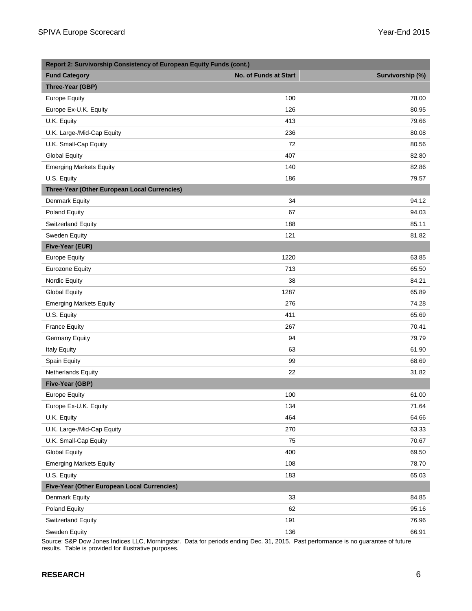| Report 2: Survivorship Consistency of European Equity Funds (cont.) |                              |                  |  |
|---------------------------------------------------------------------|------------------------------|------------------|--|
| <b>Fund Category</b>                                                | <b>No. of Funds at Start</b> | Survivorship (%) |  |
| Three-Year (GBP)                                                    |                              |                  |  |
| <b>Europe Equity</b>                                                | 100                          | 78.00            |  |
| Europe Ex-U.K. Equity                                               | 126                          | 80.95            |  |
| U.K. Equity                                                         | 413                          | 79.66            |  |
| U.K. Large-/Mid-Cap Equity                                          | 236                          | 80.08            |  |
| U.K. Small-Cap Equity                                               | 72                           | 80.56            |  |
| <b>Global Equity</b>                                                | 407                          | 82.80            |  |
| <b>Emerging Markets Equity</b>                                      | 140                          | 82.86            |  |
| U.S. Equity                                                         | 186                          | 79.57            |  |
| Three-Year (Other European Local Currencies)                        |                              |                  |  |
| Denmark Equity                                                      | 34                           | 94.12            |  |
| Poland Equity                                                       | 67                           | 94.03            |  |
| <b>Switzerland Equity</b>                                           | 188                          | 85.11            |  |
| Sweden Equity                                                       | 121                          | 81.82            |  |
| Five-Year (EUR)                                                     |                              |                  |  |
| <b>Europe Equity</b>                                                | 1220                         | 63.85            |  |
| <b>Eurozone Equity</b>                                              | 713                          | 65.50            |  |
| Nordic Equity                                                       | 38                           | 84.21            |  |
| <b>Global Equity</b>                                                | 1287                         | 65.89            |  |
| <b>Emerging Markets Equity</b>                                      | 276                          | 74.28            |  |
| U.S. Equity                                                         | 411                          | 65.69            |  |
| <b>France Equity</b>                                                | 267                          | 70.41            |  |
| <b>Germany Equity</b>                                               | 94                           | 79.79            |  |
| <b>Italy Equity</b>                                                 | 63                           | 61.90            |  |
| Spain Equity                                                        | 99                           | 68.69            |  |
| Netherlands Equity                                                  | 22                           | 31.82            |  |
| Five-Year (GBP)                                                     |                              |                  |  |
| <b>Europe Equity</b>                                                | 100                          | 61.00            |  |
| Europe Ex-U.K. Equity                                               | 134                          | 71.64            |  |
| U.K. Equity                                                         | 464                          | 64.66            |  |
| U.K. Large-/Mid-Cap Equity                                          | 270                          | 63.33            |  |
| U.K. Small-Cap Equity                                               | 75                           | 70.67            |  |
| <b>Global Equity</b>                                                | 400                          | 69.50            |  |
| <b>Emerging Markets Equity</b>                                      | 108                          | 78.70            |  |
| U.S. Equity                                                         | 183                          | 65.03            |  |
| Five-Year (Other European Local Currencies)                         |                              |                  |  |
| Denmark Equity                                                      | 33                           | 84.85            |  |
| Poland Equity                                                       | 62                           | 95.16            |  |
| <b>Switzerland Equity</b>                                           | 191                          | 76.96            |  |
| Sweden Equity                                                       | 136                          | 66.91            |  |

Source: S&P Dow Jones Indices LLC, Morningstar. Data for periods ending Dec. 31, 2015. Past performance is no guarantee of future results. Table is provided for illustrative purposes.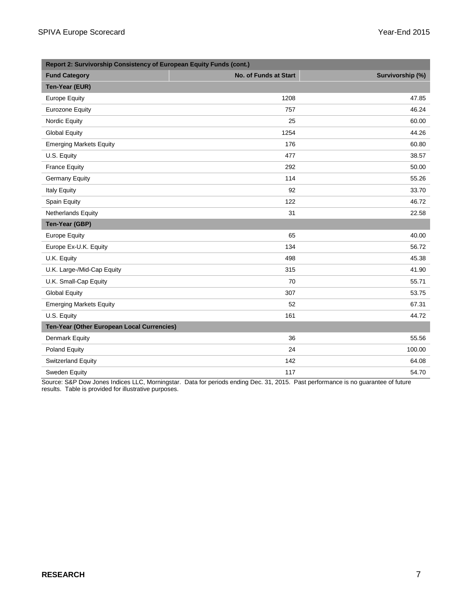| Report 2: Survivorship Consistency of European Equity Funds (cont.) |                       |                  |  |
|---------------------------------------------------------------------|-----------------------|------------------|--|
| <b>Fund Category</b>                                                | No. of Funds at Start | Survivorship (%) |  |
| Ten-Year (EUR)                                                      |                       |                  |  |
| <b>Europe Equity</b>                                                | 1208                  | 47.85            |  |
| <b>Eurozone Equity</b>                                              | 757                   | 46.24            |  |
| Nordic Equity                                                       | 25                    | 60.00            |  |
| <b>Global Equity</b>                                                | 1254                  | 44.26            |  |
| <b>Emerging Markets Equity</b>                                      | 176                   | 60.80            |  |
| U.S. Equity                                                         | 477                   | 38.57            |  |
| <b>France Equity</b>                                                | 292                   | 50.00            |  |
| <b>Germany Equity</b>                                               | 114                   | 55.26            |  |
| <b>Italy Equity</b>                                                 | 92                    | 33.70            |  |
| Spain Equity                                                        | 122                   | 46.72            |  |
| Netherlands Equity                                                  | 31                    | 22.58            |  |
| Ten-Year (GBP)                                                      |                       |                  |  |
| <b>Europe Equity</b>                                                | 65                    | 40.00            |  |
| Europe Ex-U.K. Equity                                               | 134                   | 56.72            |  |
| U.K. Equity                                                         | 498                   | 45.38            |  |
| U.K. Large-/Mid-Cap Equity                                          | 315                   | 41.90            |  |
| U.K. Small-Cap Equity                                               | 70                    | 55.71            |  |
| <b>Global Equity</b>                                                | 307                   | 53.75            |  |
| <b>Emerging Markets Equity</b>                                      | 52                    | 67.31            |  |
| U.S. Equity                                                         | 161                   | 44.72            |  |
| Ten-Year (Other European Local Currencies)                          |                       |                  |  |
| Denmark Equity                                                      | 36                    | 55.56            |  |
| Poland Equity                                                       | 24                    | 100.00           |  |
| <b>Switzerland Equity</b>                                           | 142                   | 64.08            |  |
| Sweden Equity                                                       | 117                   | 54.70            |  |

Source: S&P Dow Jones Indices LLC, Morningstar. Data for periods ending Dec. 31, 2015. Past performance is no guarantee of future results. Table is provided for illustrative purposes.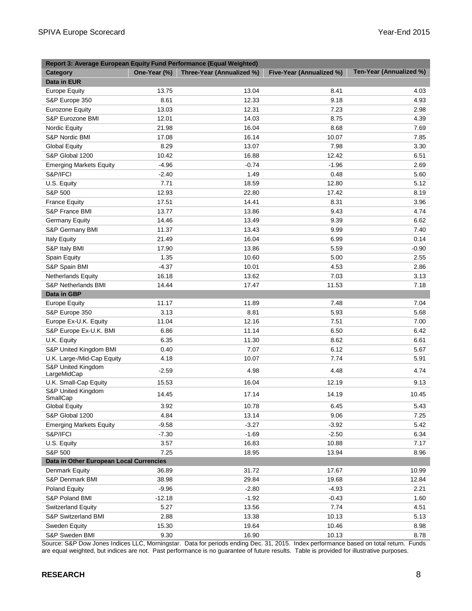| Report 3: Average European Equity Fund Performance (Equal Weighted) |              |                           |                          |                         |
|---------------------------------------------------------------------|--------------|---------------------------|--------------------------|-------------------------|
| Category                                                            | One-Year (%) | Three-Year (Annualized %) | Five-Year (Annualized %) | Ten-Year (Annualized %) |
| Data in EUR                                                         |              |                           |                          |                         |
| <b>Europe Equity</b>                                                | 13.75        | 13.04                     | 8.41                     | 4.03                    |
| S&P Europe 350                                                      | 8.61         | 12.33                     | 9.18                     | 4.93                    |
| <b>Eurozone Equity</b>                                              | 13.03        | 12.31                     | 7.23                     | 2.98                    |
| S&P Eurozone BMI                                                    | 12.01        | 14.03                     | 8.75                     | 4.39                    |
| Nordic Equity                                                       | 21.98        | 16.04                     | 8.68                     | 7.69                    |
| S&P Nordic BMI                                                      | 17.08        | 16.14                     | 10.07                    | 7.85                    |
| <b>Global Equity</b>                                                | 8.29         | 13.07                     | 7.98                     | 3.30                    |
| S&P Global 1200                                                     | 10.42        | 16.88                     | 12.42                    | 6.51                    |
| <b>Emerging Markets Equity</b>                                      | $-4.96$      | $-0.74$                   | $-1.96$                  | 2.69                    |
| S&P/IFCI                                                            | $-2.40$      | 1.49                      | 0.48                     | 5.60                    |
| U.S. Equity                                                         | 7.71         | 18.59                     | 12.80                    | 5.12                    |
| S&P 500                                                             | 12.93        | 22.80                     | 17.42                    | 8.19                    |
| <b>France Equity</b>                                                | 17.51        | 14.41                     | 8.31                     | 3.96                    |
| S&P France BMI                                                      | 13.77        | 13.86                     | 9.43                     | 4.74                    |
| Germany Equity                                                      | 14.46        | 13.49                     | 9.39                     | 6.62                    |
| S&P Germany BMI                                                     | 11.37        | 13.43                     | 9.99                     | 7.40                    |
| <b>Italy Equity</b>                                                 | 21.49        | 16.04                     | 6.99                     | 0.14                    |
| S&P Italy BMI                                                       | 17.90        | 13.86                     | 5.59                     | $-0.90$                 |
| Spain Equity                                                        | 1.35         | 10.60                     | 5.00                     | 2.55                    |
| S&P Spain BMI                                                       | $-4.37$      | 10.01                     | 4.53                     | 2.86                    |
| <b>Netherlands Equity</b>                                           | 16.18        | 13.62                     | 7.03                     | 3.13                    |
| S&P Netherlands BMI                                                 | 14.44        | 17.47                     | 11.53                    | 7.18                    |
| Data in GBP                                                         |              |                           |                          |                         |
| <b>Europe Equity</b>                                                | 11.17        | 11.89                     | 7.48                     | 7.04                    |
| S&P Europe 350                                                      | 3.13         | 8.81                      | 5.93                     | 5.68                    |
| Europe Ex-U.K. Equity                                               | 11.04        | 12.16                     | 7.51                     | 7.00                    |
| S&P Europe Ex-U.K. BMI                                              | 6.86         | 11.14                     | 6.50                     | 6.42                    |
| U.K. Equity                                                         | 6.35         | 11.30                     | 8.62                     | 6.61                    |
| S&P United Kingdom BMI                                              | 0.40         | 7.07                      | 6.12                     | 5.67                    |
| U.K. Large-/Mid-Cap Equity                                          | 4.18         | 10.07                     | 7.74                     | 5.91                    |
| S&P United Kingdom<br>LargeMidCap                                   | $-2.59$      | 4.98                      | 4.48                     | 4.74                    |
| U.K. Small-Cap Equity                                               | 15.53        | 16.04                     | 12.19                    | 9.13                    |
| S&P United Kingdom<br>SmallCap                                      | 14.45        | 17.14                     | 14.19                    | 10.45                   |
| <b>Global Equity</b>                                                | 3.92         | 10.78                     | 6.45                     | 5.43                    |
| S&P Global 1200                                                     | 4.84         | 13.14                     | 9.06                     | 7.25                    |
| <b>Emerging Markets Equity</b>                                      | $-9.58$      | $-3.27$                   | $-3.92$                  | 5.42                    |
| S&P/IFCI                                                            | $-7.30$      | $-1.69$                   | $-2.50$                  | 6.34                    |
| U.S. Equity                                                         | 3.57         | 16.83                     | 10.88                    | 7.17                    |
| S&P 500                                                             | 7.25         | 18.95                     | 13.94                    | 8.96                    |
| Data in Other European Local Currencies                             |              |                           |                          |                         |
| Denmark Equity                                                      | 36.89        | 31.72                     | 17.67                    | 10.99                   |
| S&P Denmark BMI                                                     | 38.98        | 29.84                     | 19.68                    | 12.84                   |
| Poland Equity                                                       | $-9.96$      | $-2.80$                   | $-4.93$                  | 2.21                    |
| S&P Poland BMI                                                      | $-12.18$     | $-1.92$                   | $-0.43$                  | 1.60                    |
| <b>Switzerland Equity</b>                                           | 5.27         | 13.56                     | 7.74                     | 4.51                    |
| S&P Switzerland BMI                                                 | 2.88         | 13.38                     | 10.13                    | 5.13                    |
| Sweden Equity                                                       | 15.30        | 19.64                     | 10.46                    | 8.98                    |
| S&P Sweden BMI                                                      | 9.30         | 16.90                     | 10.13                    | 8.78                    |

Source: S&P Dow Jones Indices LLC, Morningstar. Data for periods ending Dec. 31, 2015. Index performance based on total return. Funds are equal weighted, but indices are not. Past performance is no guarantee of future results. Table is provided for illustrative purposes.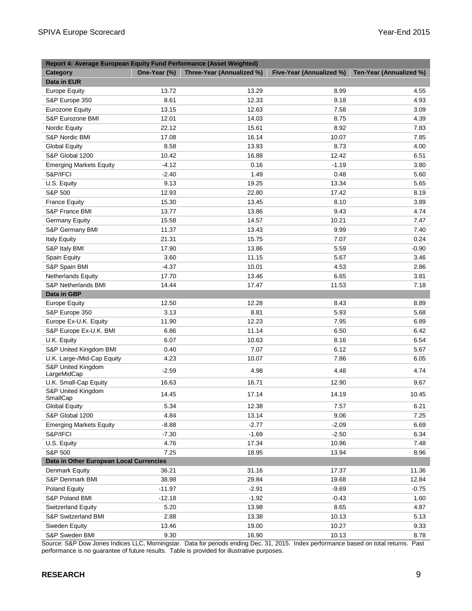| Report 4: Average European Equity Fund Performance (Asset Weighted) |              |                           |                          |                         |
|---------------------------------------------------------------------|--------------|---------------------------|--------------------------|-------------------------|
| <b>Category</b>                                                     | One-Year (%) | Three-Year (Annualized %) | Five-Year (Annualized %) | Ten-Year (Annualized %) |
| Data in EUR                                                         |              |                           |                          |                         |
| <b>Europe Equity</b>                                                | 13.72        | 13.29                     | 8.99                     | 4.55                    |
| S&P Europe 350                                                      | 8.61         | 12.33                     | 9.18                     | 4.93                    |
| Eurozone Equity                                                     | 13.15        | 12.63                     | 7.58                     | 3.09                    |
| S&P Eurozone BMI                                                    | 12.01        | 14.03                     | 8.75                     | 4.39                    |
| Nordic Equity                                                       | 22.12        | 15.61                     | 8.92                     | 7.83                    |
| S&P Nordic BMI                                                      | 17.08        | 16.14                     | 10.07                    | 7.85                    |
| <b>Global Equity</b>                                                | 8.58         | 13.93                     | 8.73                     | 4.00                    |
| S&P Global 1200                                                     | 10.42        | 16.88                     | 12.42                    | 6.51                    |
| <b>Emerging Markets Equity</b>                                      | $-4.12$      | 0.16                      | $-1.19$                  | 3.80                    |
| S&P/IFCI                                                            | $-2.40$      | 1.49                      | 0.48                     | 5.60                    |
| U.S. Equity                                                         | 9.13         | 19.25                     | 13.34                    | 5.65                    |
| S&P 500                                                             | 12.93        | 22.80                     | 17.42                    | 8.19                    |
| <b>France Equity</b>                                                | 15.30        | 13.45                     | 8.10                     | 3.89                    |
| S&P France BMI                                                      | 13.77        | 13.86                     | 9.43                     | 4.74                    |
| <b>Germany Equity</b>                                               | 15.58        | 14.57                     | 10.21                    | 7.47                    |
| S&P Germany BMI                                                     | 11.37        | 13.43                     | 9.99                     | 7.40                    |
| <b>Italy Equity</b>                                                 | 21.31        | 15.75                     | 7.07                     | 0.24                    |
| S&P Italy BMI                                                       | 17.90        | 13.86                     | 5.59                     | $-0.90$                 |
| Spain Equity                                                        | 3.60         | 11.15                     | 5.67                     | 3.46                    |
| S&P Spain BMI                                                       | $-4.37$      | 10.01                     | 4.53                     | 2.86                    |
| <b>Netherlands Equity</b>                                           | 17.70        | 13.46                     | 6.65                     | 3.81                    |
| S&P Netherlands BMI                                                 | 14.44        | 17.47                     | 11.53                    | 7.18                    |
| Data in GBP                                                         |              |                           |                          |                         |
| <b>Europe Equity</b>                                                | 12.50        | 12.28                     | 8.43                     | 8.89                    |
| S&P Europe 350                                                      | 3.13         | 8.81                      | 5.93                     | 5.68                    |
| Europe Ex-U.K. Equity                                               | 11.90        | 12.23                     | 7.95                     | 6.89                    |
| S&P Europe Ex-U.K. BMI                                              | 6.86         | 11.14                     | 6.50                     | 6.42                    |
| U.K. Equity                                                         | 6.07         | 10.63                     | 8.16                     | 6.54                    |
| S&P United Kingdom BMI                                              | 0.40         | 7.07                      | 6.12                     | 5.67                    |
| U.K. Large-/Mid-Cap Equity                                          | 4.23         | 10.07                     | 7.86                     | 6.05                    |
| S&P United Kingdom<br>LargeMidCap                                   | $-2.59$      | 4.98                      | 4.48                     | 4.74                    |
| U.K. Small-Cap Equity                                               | 16.63        | 16.71                     | 12.90                    | 9.67                    |
| S&P United Kingdom                                                  |              |                           |                          |                         |
| SmallCap                                                            | 14.45        | 17.14                     | 14.19                    | 10.45                   |
| <b>Global Equity</b>                                                | 5.34         | 12.38                     | 7.57                     | 6.21                    |
| S&P Global 1200                                                     | 4.84         | 13.14                     | 9.06                     | 7.25                    |
| <b>Emerging Markets Equity</b>                                      | $-8.88$      | $-2.77$                   | $-2.09$                  | 6.69                    |
| S&P/IFCI                                                            | $-7.30$      | $-1.69$                   | $-2.50$                  | 6.34                    |
| U.S. Equity                                                         | 4.76         | 17.34                     | 10.96                    | 7.48                    |
| S&P 500                                                             | 7.25         | 18.95                     | 13.94                    | 8.96                    |
| Data in Other European Local Currencies                             |              |                           |                          |                         |
| Denmark Equity                                                      | 36.21        | 31.16                     | 17.37                    | 11.36                   |
| S&P Denmark BMI                                                     | 38.98        | 29.84                     | 19.68                    | 12.84                   |
| Poland Equity                                                       | $-11.97$     | $-2.91$                   | $-9.69$                  | $-0.75$                 |
| S&P Poland BMI                                                      | $-12.18$     | $-1.92$                   | $-0.43$                  | 1.60                    |
| <b>Switzerland Equity</b>                                           | 5.20         | 13.98                     | 8.65                     | 4.87                    |
| S&P Switzerland BMI                                                 | 2.88         | 13.38                     | 10.13                    | 5.13                    |
| Sweden Equity                                                       | 13.46        | 19.00                     | 10.27                    | 9.33                    |
| S&P Sweden BMI                                                      | 9.30         | 16.90                     | 10.13                    | 8.78                    |

Source: S&P Dow Jones Indices LLC, Morningstar. Data for periods ending Dec. 31, 2015. Index performance based on total returns. Past performance is no guarantee of future results. Table is provided for illustrative purposes.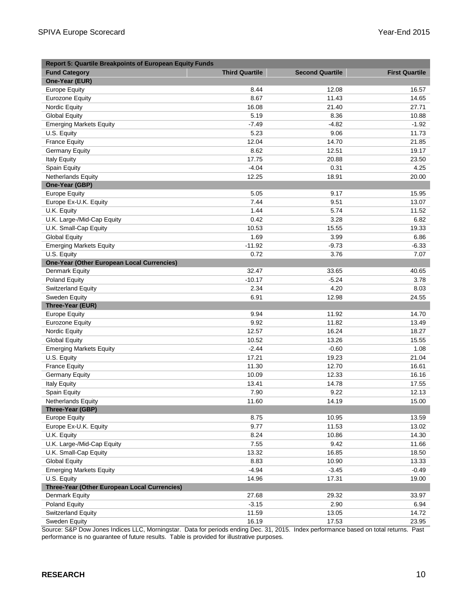| <b>Report 5: Quartile Breakpoints of European Equity Funds</b> |                       |                        |                       |
|----------------------------------------------------------------|-----------------------|------------------------|-----------------------|
| <b>Fund Category</b>                                           | <b>Third Quartile</b> | <b>Second Quartile</b> | <b>First Quartile</b> |
| One-Year (EUR)                                                 |                       |                        |                       |
| <b>Europe Equity</b>                                           | 8.44                  | 12.08                  | 16.57                 |
| Eurozone Equity                                                | 8.67                  | 11.43                  | 14.65                 |
| <b>Nordic Equity</b>                                           | 16.08                 | 21.40                  | 27.71                 |
| <b>Global Equity</b>                                           | 5.19                  | 8.36                   | 10.88                 |
| <b>Emerging Markets Equity</b>                                 | $-7.49$               | $-4.82$                | $-1.92$               |
| U.S. Equity                                                    | 5.23                  | 9.06                   | 11.73                 |
| <b>France Equity</b>                                           | 12.04                 | 14.70                  | 21.85                 |
| Germany Equity                                                 | 8.62                  | 12.51                  | 19.17                 |
| <b>Italy Equity</b>                                            | 17.75                 | 20.88                  | 23.50                 |
| Spain Equity                                                   | $-4.04$               | 0.31                   | 4.25                  |
| <b>Netherlands Equity</b>                                      | 12.25                 | 18.91                  | 20.00                 |
| One-Year (GBP)                                                 |                       |                        |                       |
| <b>Europe Equity</b>                                           | 5.05                  | 9.17                   | 15.95                 |
| Europe Ex-U.K. Equity                                          | 7.44                  | 9.51                   | 13.07                 |
| U.K. Equity                                                    | 1.44                  | 5.74                   | 11.52                 |
| U.K. Large-/Mid-Cap Equity                                     | 0.42                  | 3.28                   | 6.82                  |
| U.K. Small-Cap Equity                                          | 10.53                 | 15.55                  | 19.33                 |
| <b>Global Equity</b>                                           | 1.69                  | 3.99                   | 6.86                  |
| <b>Emerging Markets Equity</b>                                 | $-11.92$              | $-9.73$                | $-6.33$               |
| U.S. Equity                                                    | 0.72                  | 3.76                   | 7.07                  |
| <b>One-Year (Other European Local Currencies)</b>              |                       |                        |                       |
| <b>Denmark Equity</b>                                          | 32.47                 | 33.65                  | 40.65                 |
| Poland Equity                                                  | $-10.17$              | $-5.24$                | 3.78                  |
| <b>Switzerland Equity</b>                                      | 2.34                  | 4.20                   | 8.03                  |
| Sweden Equity                                                  | 6.91                  | 12.98                  | 24.55                 |
| Three-Year (EUR)                                               |                       |                        |                       |
| <b>Europe Equity</b>                                           | 9.94                  | 11.92                  | 14.70                 |
| <b>Eurozone Equity</b>                                         | 9.92                  | 11.82                  | 13.49                 |
| Nordic Equity                                                  | 12.57                 | 16.24                  | 18.27                 |
| <b>Global Equity</b>                                           | 10.52                 | 13.26                  | 15.55                 |
| <b>Emerging Markets Equity</b>                                 | $-2.44$               | $-0.60$                | 1.08                  |
| U.S. Equity                                                    | 17.21                 | 19.23                  | 21.04                 |
| <b>France Equity</b>                                           | 11.30                 | 12.70                  | 16.61                 |
| <b>Germany Equity</b>                                          | 10.09                 | 12.33                  | 16.16                 |
| <b>Italy Equity</b>                                            | 13.41                 | 14.78                  | 17.55                 |
| Spain Equity                                                   | 7.90                  | 9.22                   | 12.13                 |
| <b>Netherlands Equity</b>                                      | 11.60                 | 14.19                  | 15.00                 |
| Three-Year (GBP)                                               |                       |                        |                       |
| <b>Europe Equity</b>                                           | 8.75                  | 10.95                  | 13.59                 |
| Europe Ex-U.K. Equity                                          | 9.77                  | 11.53                  | 13.02                 |
| U.K. Equity                                                    | 8.24                  | 10.86                  | 14.30                 |
| U.K. Large-/Mid-Cap Equity                                     | 7.55                  | 9.42                   | 11.66                 |
| U.K. Small-Cap Equity                                          | 13.32                 | 16.85                  | 18.50                 |
| <b>Global Equity</b>                                           | 8.83                  | 10.90                  | 13.33                 |
| <b>Emerging Markets Equity</b>                                 | $-4.94$               | $-3.45$                | $-0.49$               |
| U.S. Equity                                                    | 14.96                 | 17.31                  | 19.00                 |
| Three-Year (Other European Local Currencies)                   |                       |                        |                       |
| Denmark Equity                                                 | 27.68                 | 29.32                  | 33.97                 |
| Poland Equity                                                  | $-3.15$               | 2.90                   | 6.94                  |
| Switzerland Equity                                             | 11.59                 | 13.05                  | 14.72                 |
| Sweden Equity                                                  | 16.19                 | 17.53                  | 23.95                 |
|                                                                |                       |                        |                       |

Source: S&P Dow Jones Indices LLC, Morningstar. Data for periods ending Dec. 31, 2015. Index performance based on total returns. Past performance is no guarantee of future results. Table is provided for illustrative purposes.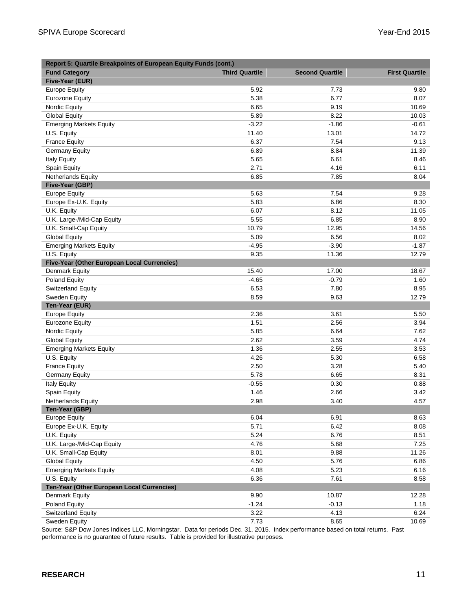| Report 5: Quartile Breakpoints of European Equity Funds (cont.) |                       |                        |                       |
|-----------------------------------------------------------------|-----------------------|------------------------|-----------------------|
| <b>Fund Category</b>                                            | <b>Third Quartile</b> | <b>Second Quartile</b> | <b>First Quartile</b> |
| Five-Year (EUR)                                                 |                       |                        |                       |
| <b>Europe Equity</b>                                            | 5.92                  | 7.73                   | 9.80                  |
| Eurozone Equity                                                 | 5.38                  | 6.77                   | 8.07                  |
| Nordic Equity                                                   | 6.65                  | 9.19                   | 10.69                 |
| <b>Global Equity</b>                                            | 5.89                  | 8.22                   | 10.03                 |
| <b>Emerging Markets Equity</b>                                  | $-3.22$               | $-1.86$                | $-0.61$               |
| U.S. Equity                                                     | 11.40                 | 13.01                  | 14.72                 |
| <b>France Equity</b>                                            | 6.37                  | 7.54                   | 9.13                  |
| <b>Germany Equity</b>                                           | 6.89                  | 8.84                   | 11.39                 |
| <b>Italy Equity</b>                                             | 5.65                  | 6.61                   | 8.46                  |
| Spain Equity                                                    | 2.71                  | 4.16                   | 6.11                  |
| <b>Netherlands Equity</b>                                       | 6.85                  | 7.85                   | 8.04                  |
| Five-Year (GBP)                                                 |                       |                        |                       |
| <b>Europe Equity</b>                                            | 5.63                  | 7.54                   | 9.28                  |
| Europe Ex-U.K. Equity                                           | 5.83                  | 6.86                   | 8.30                  |
| U.K. Equity                                                     | 6.07                  | 8.12                   | 11.05                 |
| U.K. Large-/Mid-Cap Equity                                      | 5.55                  | 6.85                   | 8.90                  |
| U.K. Small-Cap Equity                                           | 10.79                 | 12.95                  | 14.56                 |
| <b>Global Equity</b>                                            | 5.09                  | 6.56                   | 8.02                  |
| <b>Emerging Markets Equity</b>                                  | $-4.95$               | $-3.90$                | $-1.87$               |
| U.S. Equity                                                     | 9.35                  | 11.36                  | 12.79                 |
| Five-Year (Other European Local Currencies)                     |                       |                        |                       |
| Denmark Equity                                                  | 15.40                 | 17.00                  | 18.67                 |
| Poland Equity                                                   | $-4.65$               | $-0.79$                | 1.60                  |
| <b>Switzerland Equity</b>                                       | 6.53                  | 7.80                   | 8.95                  |
| Sweden Equity                                                   | 8.59                  | 9.63                   | 12.79                 |
| Ten-Year (EUR)                                                  |                       |                        |                       |
| <b>Europe Equity</b>                                            | 2.36                  | 3.61                   | 5.50                  |
| <b>Eurozone Equity</b>                                          | 1.51                  | 2.56                   | 3.94                  |
| Nordic Equity                                                   | 5.85                  | 6.64                   | 7.62                  |
| <b>Global Equity</b>                                            | 2.62                  | 3.59                   | 4.74                  |
| <b>Emerging Markets Equity</b>                                  | 1.36                  | 2.55                   | 3.53                  |
| U.S. Equity                                                     | 4.26                  | 5.30                   | 6.58                  |
| <b>France Equity</b>                                            | 2.50                  | 3.28                   | 5.40                  |
| <b>Germany Equity</b>                                           | 5.78                  | 6.65                   | 8.31                  |
| <b>Italy Equity</b>                                             | $-0.55$               | 0.30                   | 0.88                  |
| Spain Equity                                                    | 1.46                  | 2.66                   | 3.42                  |
| Netherlands Equity                                              | 2.98                  | 3.40                   | 4.57                  |
| Ten-Year (GBP)                                                  |                       |                        |                       |
| <b>Europe Equity</b>                                            | 6.04                  | 6.91                   | 8.63                  |
| Europe Ex-U.K. Equity                                           | 5.71                  | 6.42                   | 8.08                  |
| U.K. Equity                                                     | 5.24                  | 6.76                   | 8.51                  |
| U.K. Large-/Mid-Cap Equity                                      | 4.76                  | 5.68                   | 7.25                  |
| U.K. Small-Cap Equity                                           | 8.01                  | 9.88                   | 11.26                 |
| <b>Global Equity</b>                                            | 4.50                  | 5.76                   | 6.86                  |
| <b>Emerging Markets Equity</b>                                  | 4.08                  | 5.23                   | 6.16                  |
| U.S. Equity                                                     | 6.36                  | 7.61                   | 8.58                  |
| Ten-Year (Other European Local Currencies)                      |                       |                        |                       |
| <b>Denmark Equity</b>                                           | 9.90                  | 10.87                  | 12.28                 |
| Poland Equity                                                   | $-1.24$               | $-0.13$                | 1.18                  |
| Switzerland Equity                                              | 3.22                  | 4.13                   | 6.24                  |
| Sweden Equity                                                   | 7.73                  | 8.65                   | 10.69                 |

Source: S&P Dow Jones Indices LLC, Morningstar. Data for periods Dec. 31, 2015. Index performance based on total returns. Past performance is no guarantee of future results. Table is provided for illustrative purposes.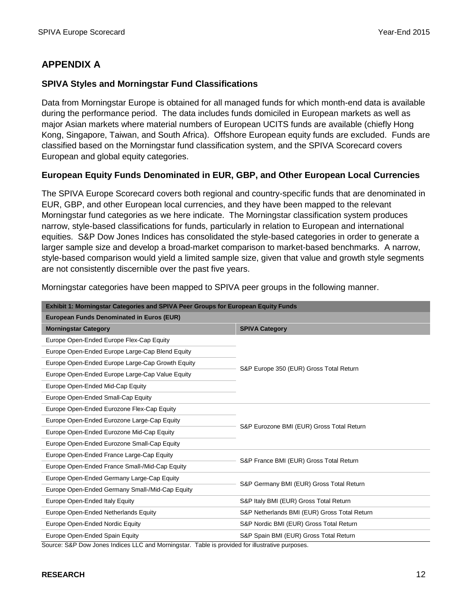# **APPENDIX A**

#### **SPIVA Styles and Morningstar Fund Classifications**

Data from Morningstar Europe is obtained for all managed funds for which month-end data is available during the performance period. The data includes funds domiciled in European markets as well as major Asian markets where material numbers of European UCITS funds are available (chiefly Hong Kong, Singapore, Taiwan, and South Africa). Offshore European equity funds are excluded. Funds are classified based on the Morningstar fund classification system, and the SPIVA Scorecard covers European and global equity categories.

#### **European Equity Funds Denominated in EUR, GBP, and Other European Local Currencies**

The SPIVA Europe Scorecard covers both regional and country-specific funds that are denominated in EUR, GBP, and other European local currencies, and they have been mapped to the relevant Morningstar fund categories as we here indicate. The Morningstar classification system produces narrow, style-based classifications for funds, particularly in relation to European and international equities. S&P Dow Jones Indices has consolidated the style-based categories in order to generate a larger sample size and develop a broad-market comparison to market-based benchmarks. A narrow, style-based comparison would yield a limited sample size, given that value and growth style segments are not consistently discernible over the past five years.

| <b>Exhibit 1: Morningstar Categories and SPIVA Peer Groups for European Equity Funds</b> |                                              |  |  |  |
|------------------------------------------------------------------------------------------|----------------------------------------------|--|--|--|
| <b>European Funds Denominated in Euros (EUR)</b>                                         |                                              |  |  |  |
| <b>Morningstar Category</b>                                                              | <b>SPIVA Category</b>                        |  |  |  |
| Europe Open-Ended Europe Flex-Cap Equity                                                 |                                              |  |  |  |
| Europe Open-Ended Europe Large-Cap Blend Equity                                          |                                              |  |  |  |
| Europe Open-Ended Europe Large-Cap Growth Equity                                         |                                              |  |  |  |
| Europe Open-Ended Europe Large-Cap Value Equity                                          | S&P Europe 350 (EUR) Gross Total Return      |  |  |  |
| Europe Open-Ended Mid-Cap Equity                                                         |                                              |  |  |  |
| Europe Open-Ended Small-Cap Equity                                                       |                                              |  |  |  |
| Europe Open-Ended Eurozone Flex-Cap Equity                                               |                                              |  |  |  |
| Europe Open-Ended Eurozone Large-Cap Equity                                              | S&P Eurozone BMI (EUR) Gross Total Return    |  |  |  |
| Europe Open-Ended Eurozone Mid-Cap Equity                                                |                                              |  |  |  |
| Europe Open-Ended Eurozone Small-Cap Equity                                              |                                              |  |  |  |
| Europe Open-Ended France Large-Cap Equity                                                |                                              |  |  |  |
| Europe Open-Ended France Small-/Mid-Cap Equity                                           | S&P France BMI (EUR) Gross Total Return      |  |  |  |
| Europe Open-Ended Germany Large-Cap Equity                                               |                                              |  |  |  |
| Europe Open-Ended Germany Small-/Mid-Cap Equity                                          | S&P Germany BMI (EUR) Gross Total Return     |  |  |  |
| Europe Open-Ended Italy Equity                                                           | S&P Italy BMI (EUR) Gross Total Return       |  |  |  |
| Europe Open-Ended Netherlands Equity                                                     | S&P Netherlands BMI (EUR) Gross Total Return |  |  |  |
| Europe Open-Ended Nordic Equity                                                          | S&P Nordic BMI (EUR) Gross Total Return      |  |  |  |
| Europe Open-Ended Spain Equity                                                           | S&P Spain BMI (EUR) Gross Total Return       |  |  |  |

Morningstar categories have been mapped to SPIVA peer groups in the following manner.

Source: S&P Dow Jones Indices LLC and Morningstar. Table is provided for illustrative purposes.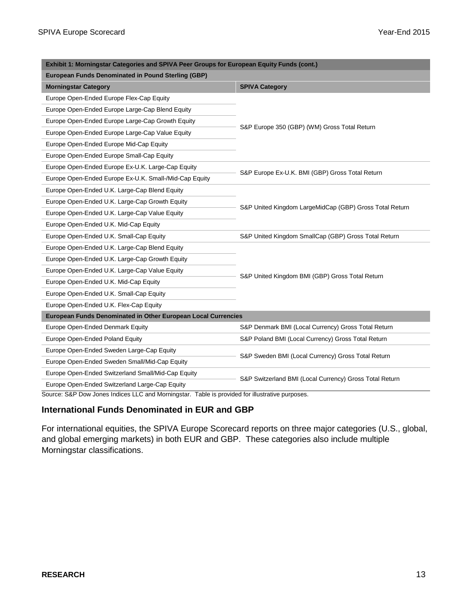| Exhibit 1: Morningstar Categories and SPIVA Peer Groups for European Equity Funds (cont.) |                                                         |  |  |
|-------------------------------------------------------------------------------------------|---------------------------------------------------------|--|--|
| <b>European Funds Denominated in Pound Sterling (GBP)</b>                                 |                                                         |  |  |
| <b>Morningstar Category</b>                                                               | <b>SPIVA Category</b>                                   |  |  |
| Europe Open-Ended Europe Flex-Cap Equity                                                  |                                                         |  |  |
| Europe Open-Ended Europe Large-Cap Blend Equity                                           |                                                         |  |  |
| Europe Open-Ended Europe Large-Cap Growth Equity                                          | S&P Europe 350 (GBP) (WM) Gross Total Return            |  |  |
| Europe Open-Ended Europe Large-Cap Value Equity                                           |                                                         |  |  |
| Europe Open-Ended Europe Mid-Cap Equity                                                   |                                                         |  |  |
| Europe Open-Ended Europe Small-Cap Equity                                                 |                                                         |  |  |
| Europe Open-Ended Europe Ex-U.K. Large-Cap Equity                                         | S&P Europe Ex-U.K. BMI (GBP) Gross Total Return         |  |  |
| Europe Open-Ended Europe Ex-U.K. Small-/Mid-Cap Equity                                    |                                                         |  |  |
| Europe Open-Ended U.K. Large-Cap Blend Equity                                             |                                                         |  |  |
| Europe Open-Ended U.K. Large-Cap Growth Equity                                            |                                                         |  |  |
| Europe Open-Ended U.K. Large-Cap Value Equity                                             | S&P United Kingdom LargeMidCap (GBP) Gross Total Return |  |  |
| Europe Open-Ended U.K. Mid-Cap Equity                                                     |                                                         |  |  |
| Europe Open-Ended U.K. Small-Cap Equity                                                   | S&P United Kingdom SmallCap (GBP) Gross Total Return    |  |  |
| Europe Open-Ended U.K. Large-Cap Blend Equity                                             |                                                         |  |  |
| Europe Open-Ended U.K. Large-Cap Growth Equity                                            |                                                         |  |  |
| Europe Open-Ended U.K. Large-Cap Value Equity                                             | S&P United Kingdom BMI (GBP) Gross Total Return         |  |  |
| Europe Open-Ended U.K. Mid-Cap Equity                                                     |                                                         |  |  |
| Europe Open-Ended U.K. Small-Cap Equity                                                   |                                                         |  |  |
| Europe Open-Ended U.K. Flex-Cap Equity                                                    |                                                         |  |  |
| European Funds Denominated in Other European Local Currencies                             |                                                         |  |  |
| Europe Open-Ended Denmark Equity                                                          | S&P Denmark BMI (Local Currency) Gross Total Return     |  |  |
| Europe Open-Ended Poland Equity                                                           | S&P Poland BMI (Local Currency) Gross Total Return      |  |  |
| Europe Open-Ended Sweden Large-Cap Equity                                                 | S&P Sweden BMI (Local Currency) Gross Total Return      |  |  |
| Europe Open-Ended Sweden Small/Mid-Cap Equity                                             |                                                         |  |  |
| Europe Open-Ended Switzerland Small/Mid-Cap Equity                                        | S&P Switzerland BMI (Local Currency) Gross Total Return |  |  |
| Europe Open-Ended Switzerland Large-Cap Equity                                            |                                                         |  |  |

Source: S&P Dow Jones Indices LLC and Morningstar. Table is provided for illustrative purposes.

#### **International Funds Denominated in EUR and GBP**

For international equities, the SPIVA Europe Scorecard reports on three major categories (U.S., global, and global emerging markets) in both EUR and GBP. These categories also include multiple Morningstar classifications.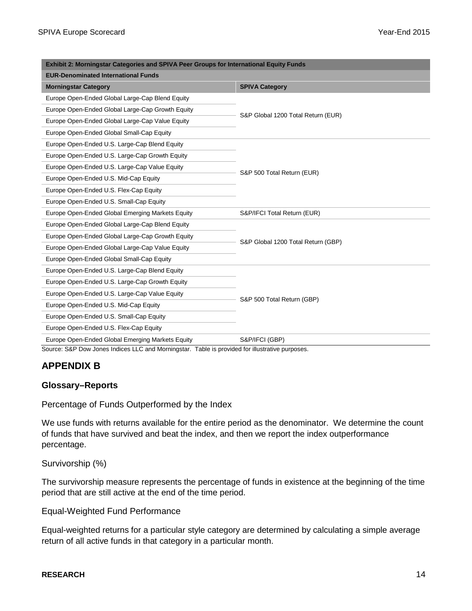| Exhibit 2: Morningstar Categories and SPIVA Peer Groups for International Equity Funds |                                    |  |
|----------------------------------------------------------------------------------------|------------------------------------|--|
| <b>EUR-Denominated International Funds</b>                                             |                                    |  |
| <b>Morningstar Category</b>                                                            | <b>SPIVA Category</b>              |  |
| Europe Open-Ended Global Large-Cap Blend Equity                                        |                                    |  |
| Europe Open-Ended Global Large-Cap Growth Equity                                       | S&P Global 1200 Total Return (EUR) |  |
| Europe Open-Ended Global Large-Cap Value Equity                                        |                                    |  |
| Europe Open-Ended Global Small-Cap Equity                                              |                                    |  |
| Europe Open-Ended U.S. Large-Cap Blend Equity                                          |                                    |  |
| Europe Open-Ended U.S. Large-Cap Growth Equity                                         |                                    |  |
| Europe Open-Ended U.S. Large-Cap Value Equity                                          | S&P 500 Total Return (EUR)         |  |
| Europe Open-Ended U.S. Mid-Cap Equity                                                  |                                    |  |
| Europe Open-Ended U.S. Flex-Cap Equity                                                 |                                    |  |
| Europe Open-Ended U.S. Small-Cap Equity                                                |                                    |  |
| Europe Open-Ended Global Emerging Markets Equity                                       | S&P/IFCI Total Return (EUR)        |  |
| Europe Open-Ended Global Large-Cap Blend Equity                                        |                                    |  |
| Europe Open-Ended Global Large-Cap Growth Equity                                       |                                    |  |
| Europe Open-Ended Global Large-Cap Value Equity                                        | S&P Global 1200 Total Return (GBP) |  |
| Europe Open-Ended Global Small-Cap Equity                                              |                                    |  |
| Europe Open-Ended U.S. Large-Cap Blend Equity                                          |                                    |  |
| Europe Open-Ended U.S. Large-Cap Growth Equity                                         |                                    |  |
| Europe Open-Ended U.S. Large-Cap Value Equity                                          | S&P 500 Total Return (GBP)         |  |
| Europe Open-Ended U.S. Mid-Cap Equity                                                  |                                    |  |
| Europe Open-Ended U.S. Small-Cap Equity                                                |                                    |  |
| Europe Open-Ended U.S. Flex-Cap Equity                                                 |                                    |  |
| Europe Open-Ended Global Emerging Markets Equity                                       | S&P/IFCI (GBP)                     |  |

Source: S&P Dow Jones Indices LLC and Morningstar. Table is provided for illustrative purposes.

## **APPENDIX B**

#### **Glossary–Reports**

Percentage of Funds Outperformed by the Index

We use funds with returns available for the entire period as the denominator. We determine the count of funds that have survived and beat the index, and then we report the index outperformance percentage.

Survivorship (%)

The survivorship measure represents the percentage of funds in existence at the beginning of the time period that are still active at the end of the time period.

Equal-Weighted Fund Performance

Equal-weighted returns for a particular style category are determined by calculating a simple average return of all active funds in that category in a particular month.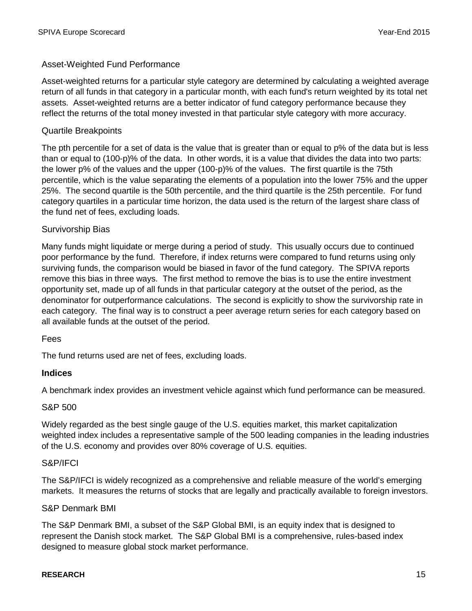#### Asset-Weighted Fund Performance

Asset-weighted returns for a particular style category are determined by calculating a weighted average return of all funds in that category in a particular month, with each fund's return weighted by its total net assets. Asset-weighted returns are a better indicator of fund category performance because they reflect the returns of the total money invested in that particular style category with more accuracy.

#### Quartile Breakpoints

The pth percentile for a set of data is the value that is greater than or equal to p% of the data but is less than or equal to (100-p)% of the data. In other words, it is a value that divides the data into two parts: the lower p% of the values and the upper (100-p)% of the values. The first quartile is the 75th percentile, which is the value separating the elements of a population into the lower 75% and the upper 25%. The second quartile is the 50th percentile, and the third quartile is the 25th percentile. For fund category quartiles in a particular time horizon, the data used is the return of the largest share class of the fund net of fees, excluding loads.

#### Survivorship Bias

Many funds might liquidate or merge during a period of study. This usually occurs due to continued poor performance by the fund. Therefore, if index returns were compared to fund returns using only surviving funds, the comparison would be biased in favor of the fund category. The SPIVA reports remove this bias in three ways. The first method to remove the bias is to use the entire investment opportunity set, made up of all funds in that particular category at the outset of the period, as the denominator for outperformance calculations. The second is explicitly to show the survivorship rate in each category. The final way is to construct a peer average return series for each category based on all available funds at the outset of the period.

#### Fees

The fund returns used are net of fees, excluding loads.

#### **Indices**

A benchmark index provides an investment vehicle against which fund performance can be measured.

#### S&P 500

Widely regarded as the best single gauge of the U.S. equities market, this market capitalization weighted index includes a representative sample of the 500 leading companies in the leading industries of the U.S. economy and provides over 80% coverage of U.S. equities.

#### S&P/IFCI

The S&P/IFCI is widely recognized as a comprehensive and reliable measure of the world's emerging markets. It measures the returns of stocks that are legally and practically available to foreign investors.

#### S&P Denmark BMI

The S&P Denmark BMI, a subset of the S&P Global BMI, is an equity index that is designed to represent the Danish stock market. The S&P Global BMI is a comprehensive, rules-based index designed to measure global stock market performance.

#### **RESEARCH** 15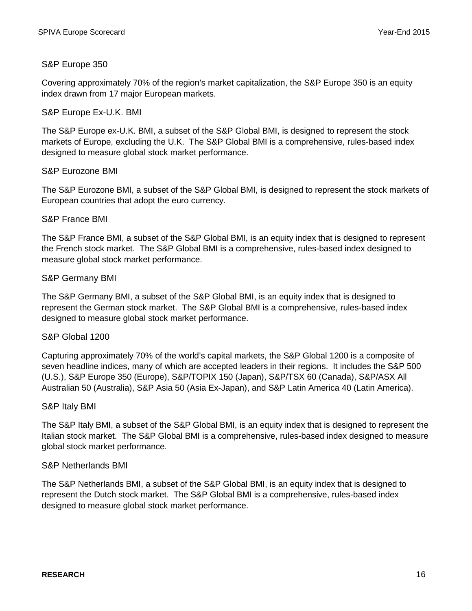#### S&P Europe 350

Covering approximately 70% of the region's market capitalization, the S&P Europe 350 is an equity index drawn from 17 major European markets.

#### S&P Europe Ex-U.K. BMI

The S&P Europe ex-U.K. BMI, a subset of the S&P Global BMI, is designed to represent the stock markets of Europe, excluding the U.K. The S&P Global BMI is a comprehensive, rules-based index designed to measure global stock market performance.

#### S&P Eurozone BMI

The S&P Eurozone BMI, a subset of the S&P Global BMI, is designed to represent the stock markets of European countries that adopt the euro currency.

#### S&P France BMI

The S&P France BMI, a subset of the S&P Global BMI, is an equity index that is designed to represent the French stock market. The S&P Global BMI is a comprehensive, rules-based index designed to measure global stock market performance.

#### S&P Germany BMI

The S&P Germany BMI, a subset of the S&P Global BMI, is an equity index that is designed to represent the German stock market. The S&P Global BMI is a comprehensive, rules-based index designed to measure global stock market performance.

#### S&P Global 1200

Capturing approximately 70% of the world's capital markets, the S&P Global 1200 is a composite of seven headline indices, many of which are accepted leaders in their regions. It includes the S&P 500 (U.S.), S&P Europe 350 (Europe), S&P/TOPIX 150 (Japan), S&P/TSX 60 (Canada), S&P/ASX All Australian 50 (Australia), S&P Asia 50 (Asia Ex-Japan), and S&P Latin America 40 (Latin America).

#### S&P Italy BMI

The S&P Italy BMI, a subset of the S&P Global BMI, is an equity index that is designed to represent the Italian stock market. The S&P Global BMI is a comprehensive, rules-based index designed to measure global stock market performance.

#### S&P Netherlands BMI

The S&P Netherlands BMI, a subset of the S&P Global BMI, is an equity index that is designed to represent the Dutch stock market. The S&P Global BMI is a comprehensive, rules-based index designed to measure global stock market performance.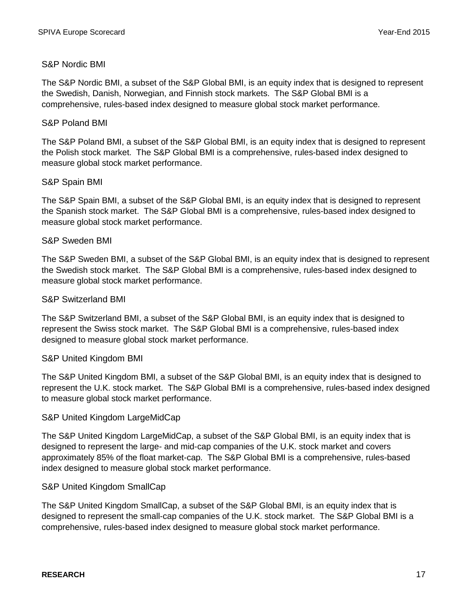#### S&P Nordic BMI

The S&P Nordic BMI, a subset of the S&P Global BMI, is an equity index that is designed to represent the Swedish, Danish, Norwegian, and Finnish stock markets. The S&P Global BMI is a comprehensive, rules-based index designed to measure global stock market performance.

#### S&P Poland BMI

The S&P Poland BMI, a subset of the S&P Global BMI, is an equity index that is designed to represent the Polish stock market. The S&P Global BMI is a comprehensive, rules-based index designed to measure global stock market performance.

#### S&P Spain BMI

The S&P Spain BMI, a subset of the S&P Global BMI, is an equity index that is designed to represent the Spanish stock market. The S&P Global BMI is a comprehensive, rules-based index designed to measure global stock market performance.

#### S&P Sweden BMI

The S&P Sweden BMI, a subset of the S&P Global BMI, is an equity index that is designed to represent the Swedish stock market. The S&P Global BMI is a comprehensive, rules-based index designed to measure global stock market performance.

#### S&P Switzerland BMI

The S&P Switzerland BMI, a subset of the S&P Global BMI, is an equity index that is designed to represent the Swiss stock market. The S&P Global BMI is a comprehensive, rules-based index designed to measure global stock market performance.

#### S&P United Kingdom BMI

The S&P United Kingdom BMI, a subset of the S&P Global BMI, is an equity index that is designed to represent the U.K. stock market. The S&P Global BMI is a comprehensive, rules-based index designed to measure global stock market performance.

#### S&P United Kingdom LargeMidCap

The S&P United Kingdom LargeMidCap, a subset of the S&P Global BMI, is an equity index that is designed to represent the large- and mid-cap companies of the U.K. stock market and covers approximately 85% of the float market-cap. The S&P Global BMI is a comprehensive, rules-based index designed to measure global stock market performance.

#### S&P United Kingdom SmallCap

The S&P United Kingdom SmallCap, a subset of the S&P Global BMI, is an equity index that is designed to represent the small-cap companies of the U.K. stock market. The S&P Global BMI is a comprehensive, rules-based index designed to measure global stock market performance.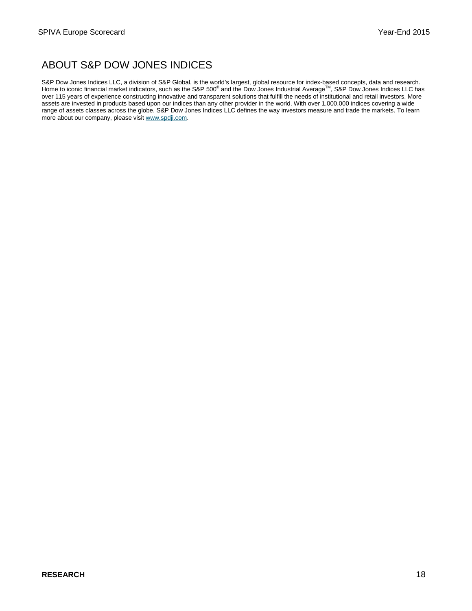# ABOUT S&P DOW JONES INDICES

S&P Dow Jones Indices LLC, a division of S&P Global, is the world's largest, global resource for index-based concepts, data and research.<br>Home to iconic financial market indicators, such as the S&P 500® and the Dow Jones over 115 years of experience constructing innovative and transparent solutions that fulfill the needs of institutional and retail investors. More assets are invested in products based upon our indices than any other provider in the world. With over 1,000,000 indices covering a wide range of assets classes across the globe, S&P Dow Jones Indices LLC defines the way investors measure and trade the markets. To learn more about our company, please visit www.spdji.com.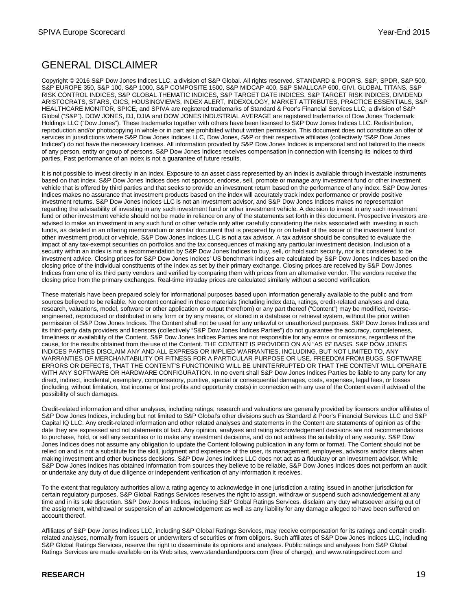# GENERAL DISCLAIMER

Copyright © 2016 S&P Dow Jones Indices LLC, a division of S&P Global. All rights reserved. STANDARD & POOR'S, S&P, SPDR, S&P 500, S&P EUROPE 350, S&P 100, S&P 1000, S&P COMPOSITE 1500, S&P MIDCAP 400, S&P SMALLCAP 600, GIVI, GLOBAL TITANS, S&P RISK CONTROL INDICES, S&P GLOBAL THEMATIC INDICES, S&P TARGET DATE INDICES, S&P TARGET RISK INDICES, DIVIDEND ARISTOCRATS, STARS, GICS, HOUSINGVIEWS, INDEX ALERT, INDEXOLOGY, MARKET ATTRIBUTES, PRACTICE ESSENTIALS, S&P HEALTHCARE MONITOR, SPICE, and SPIVA are registered trademarks of Standard & Poor's Financial Services LLC, a division of S&P Global ("S&P"). DOW JONES, DJ, DJIA and DOW JONES INDUSTRIAL AVERAGE are registered trademarks of Dow Jones Trademark Holdings LLC ("Dow Jones"). These trademarks together with others have been licensed to S&P Dow Jones Indices LLC. Redistribution, reproduction and/or photocopying in whole or in part are prohibited without written permission. This document does not constitute an offer of services in jurisdictions where S&P Dow Jones Indices LLC, Dow Jones, S&P or their respective affiliates (collectively "S&P Dow Jones Indices") do not have the necessary licenses. All information provided by S&P Dow Jones Indices is impersonal and not tailored to the needs of any person, entity or group of persons. S&P Dow Jones Indices receives compensation in connection with licensing its indices to third parties. Past performance of an index is not a guarantee of future results.

It is not possible to invest directly in an index. Exposure to an asset class represented by an index is available through investable instruments based on that index. S&P Dow Jones Indices does not sponsor, endorse, sell, promote or manage any investment fund or other investment vehicle that is offered by third parties and that seeks to provide an investment return based on the performance of any index. S&P Dow Jones Indices makes no assurance that investment products based on the index will accurately track index performance or provide positive investment returns. S&P Dow Jones Indices LLC is not an investment advisor, and S&P Dow Jones Indices makes no representation regarding the advisability of investing in any such investment fund or other investment vehicle. A decision to invest in any such investment fund or other investment vehicle should not be made in reliance on any of the statements set forth in this document. Prospective investors are advised to make an investment in any such fund or other vehicle only after carefully considering the risks associated with investing in such funds, as detailed in an offering memorandum or similar document that is prepared by or on behalf of the issuer of the investment fund or other investment product or vehicle. S&P Dow Jones Indices LLC is not a tax advisor. A tax advisor should be consulted to evaluate the impact of any tax-exempt securities on portfolios and the tax consequences of making any particular investment decision. Inclusion of a security within an index is not a recommendation by S&P Dow Jones Indices to buy, sell, or hold such security, nor is it considered to be investment advice. Closing prices for S&P Dow Jones Indices' US benchmark indices are calculated by S&P Dow Jones Indices based on the closing price of the individual constituents of the index as set by their primary exchange. Closing prices are received by S&P Dow Jones Indices from one of its third party vendors and verified by comparing them with prices from an alternative vendor. The vendors receive the closing price from the primary exchanges. Real-time intraday prices are calculated similarly without a second verification.

These materials have been prepared solely for informational purposes based upon information generally available to the public and from sources believed to be reliable. No content contained in these materials (including index data, ratings, credit-related analyses and data, research, valuations, model, software or other application or output therefrom) or any part thereof ("Content") may be modified, reverseengineered, reproduced or distributed in any form or by any means, or stored in a database or retrieval system, without the prior written permission of S&P Dow Jones Indices. The Content shall not be used for any unlawful or unauthorized purposes. S&P Dow Jones Indices and its third-party data providers and licensors (collectively "S&P Dow Jones Indices Parties") do not guarantee the accuracy, completeness, timeliness or availability of the Content. S&P Dow Jones Indices Parties are not responsible for any errors or omissions, regardless of the cause, for the results obtained from the use of the Content. THE CONTENT IS PROVIDED ON AN "AS IS" BASIS. S&P DOW JONES INDICES PARTIES DISCLAIM ANY AND ALL EXPRESS OR IMPLIED WARRANTIES, INCLUDING, BUT NOT LIMITED TO, ANY WARRANTIES OF MERCHANTABILITY OR FITNESS FOR A PARTICULAR PURPOSE OR USE, FREEDOM FROM BUGS, SOFTWARE ERRORS OR DEFECTS, THAT THE CONTENT'S FUNCTIONING WILL BE UNINTERRUPTED OR THAT THE CONTENT WILL OPERATE WITH ANY SOFTWARE OR HARDWARE CONFIGURATION. In no event shall S&P Dow Jones Indices Parties be liable to any party for any direct, indirect, incidental, exemplary, compensatory, punitive, special or consequential damages, costs, expenses, legal fees, or losses (including, without limitation, lost income or lost profits and opportunity costs) in connection with any use of the Content even if advised of the possibility of such damages.

Credit-related information and other analyses, including ratings, research and valuations are generally provided by licensors and/or affiliates of S&P Dow Jones Indices, including but not limited to S&P Global's other divisions such as Standard & Poor's Financial Services LLC and S&P Capital IQ LLC. Any credit-related information and other related analyses and statements in the Content are statements of opinion as of the date they are expressed and not statements of fact. Any opinion, analyses and rating acknowledgement decisions are not recommendations to purchase, hold, or sell any securities or to make any investment decisions, and do not address the suitability of any security. S&P Dow Jones Indices does not assume any obligation to update the Content following publication in any form or format. The Content should not be relied on and is not a substitute for the skill, judgment and experience of the user, its management, employees, advisors and/or clients when making investment and other business decisions. S&P Dow Jones Indices LLC does not act as a fiduciary or an investment advisor. While S&P Dow Jones Indices has obtained information from sources they believe to be reliable, S&P Dow Jones Indices does not perform an audit or undertake any duty of due diligence or independent verification of any information it receives.

To the extent that regulatory authorities allow a rating agency to acknowledge in one jurisdiction a rating issued in another jurisdiction for certain regulatory purposes, S&P Global Ratings Services reserves the right to assign, withdraw or suspend such acknowledgement at any time and in its sole discretion. S&P Dow Jones Indices, including S&P Global Ratings Services, disclaim any duty whatsoever arising out of the assignment, withdrawal or suspension of an acknowledgement as well as any liability for any damage alleged to have been suffered on account thereof.

Affiliates of S&P Dow Jones Indices LLC, including S&P Global Ratings Services, may receive compensation for its ratings and certain creditrelated analyses, normally from issuers or underwriters of securities or from obligors. Such affiliates of S&P Dow Jones Indices LLC, including S&P Global Ratings Services, reserve the right to disseminate its opinions and analyses. Public ratings and analyses from S&P Global Ratings Services are made available on its Web sites, www.standardandpoors.com (free of charge), and www.ratingsdirect.com and